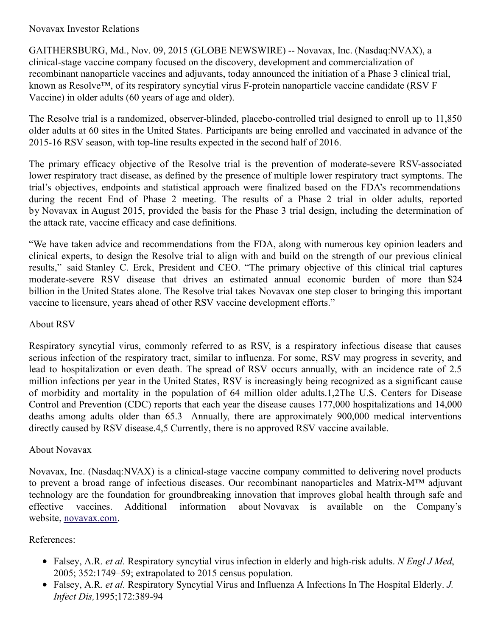### Novavax Investor Relations

GAITHERSBURG, Md., Nov. 09, 2015 (GLOBE NEWSWIRE) -- Novavax, Inc. (Nasdaq:NVAX), a clinical-stage vaccine company focused on the discovery, development and commercialization of recombinant nanoparticle vaccines and adjuvants, today announced the initiation of a Phase 3 clinical trial, known as Resolve™, of its respiratory syncytial virus F-protein nanoparticle vaccine candidate (RSV F Vaccine) in older adults (60 years of age and older).

The Resolve trial is a randomized, observer-blinded, placebo-controlled trial designed to enroll up to 11,850 older adults at 60 sites in the United States. Participants are being enrolled and vaccinated in advance of the 2015-16 RSV season, with top-line results expected in the second half of 2016.

The primary efficacy objective of the Resolve trial is the prevention of moderate-severe RSV-associated lower respiratory tract disease, as defined by the presence of multiple lower respiratory tract symptoms. The trial's objectives, endpoints and statistical approach were finalized based on the FDA's recommendations during the recent End of Phase 2 meeting. The results of a Phase 2 trial in older adults, reported by Novavax in August 2015, provided the basis for the Phase 3 trial design, including the determination of the attack rate, vaccine efficacy and case definitions.

"We have taken advice and recommendations from the FDA, along with numerous key opinion leaders and clinical experts, to design the Resolve trial to align with and build on the strength of our previous clinical results," said Stanley C. Erck, President and CEO. "The primary objective of this clinical trial captures moderate-severe RSV disease that drives an estimated annual economic burden of more than \$24 billion in the United States alone. The Resolve trial takes Novavax one step closer to bringing this important vaccine to licensure, years ahead of other RSV vaccine development efforts."

# About RSV

Respiratory syncytial virus, commonly referred to as RSV, is a respiratory infectious disease that causes serious infection of the respiratory tract, similar to influenza. For some, RSV may progress in severity, and lead to hospitalization or even death. The spread of RSV occurs annually, with an incidence rate of 2.5 million infections per year in the United States, RSV is increasingly being recognized as a significant cause of morbidity and mortality in the population of 64 million older adults.1,2The U.S. Centers for Disease Control and Prevention (CDC) reports that each year the disease causes 177,000 hospitalizations and 14,000 deaths among adults older than 65.3 Annually, there are approximately 900,000 medical interventions directly caused by RSV disease.4,5 Currently, there is no approved RSV vaccine available.

### About Novavax

Novavax, Inc. (Nasdaq:NVAX) is a clinical-stage vaccine company committed to delivering novel products to prevent a broad range of infectious diseases. Our recombinant nanoparticles and Matrix-M™ adjuvant technology are the foundation for groundbreaking innovation that improves global health through safe and effective vaccines. Additional information about Novavax is available on the Company's website, [novavax.com](http://www.globenewswire.com/Tracker?data=9E4iuROJmrEBH7g7nLGJLjm0cJc_MOWxBcmLQ7ACMVKldlPFlL1ekhMtJwX7m5Iepd3WhyaLpByd_UTknzlbCQ==).

# References:

- Falsey, A.R. *et al.* Respiratory syncytial virus infection in elderly and high-risk adults. *N Engl J Med*, 2005; 352:1749–59; extrapolated to 2015 census population.
- Falsey, A.R. *et al.* Respiratory Syncytial Virus and Influenza A Infections In The Hospital Elderly. *J. Infect Dis,*1995;172:389-94